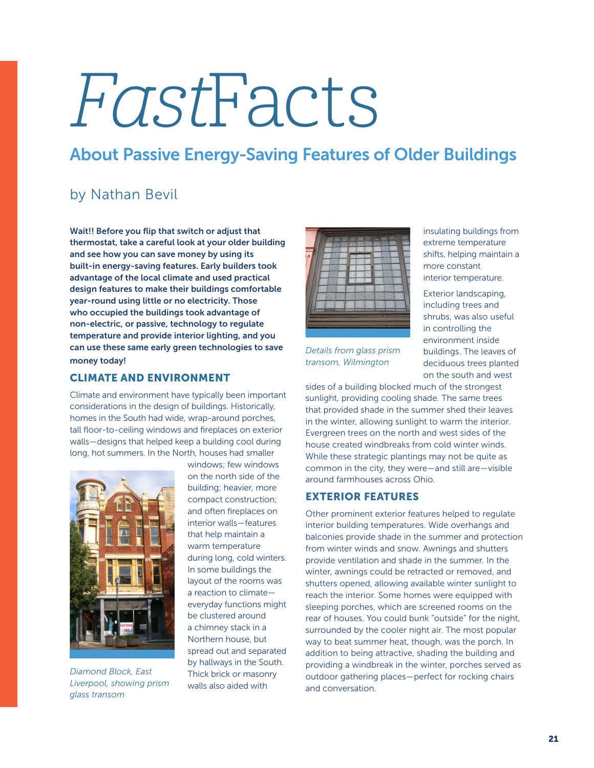# FastFacts

## About Passive Energy-Saving Features of Older Buildings

### by Nathan Bevil

Wait!! Before you flip that switch or adjust that thermostat, take a careful look at your older building and see how you can save money by using its built-in energy-saving features. Early builders took advantage of the local climate and used practical design features to make their buildings comfortable year-round using little or no electricity. Those who occupied the buildings took advantage of non-electric, or passive, technology to regulate temperature and provide interior lighting, and you can use these same early green technologies to save money today!

#### CLIMATE AND ENVIRONMENT

Climate and environment have typically been important considerations in the design of buildings. Historically, homes in the South had wide, wrap-around porches, tall floor-to-ceiling windows and fireplaces on exterior walls—designs that helped keep a building cool during long, hot summers. In the North, houses had smaller



*Diamond Block, East Liverpool, showing prism glass transom*

windows; few windows on the north side of the building; heavier, more compact construction; and often fireplaces on interior walls—features that help maintain a warm temperature during long, cold winters. In some buildings the layout of the rooms was a reaction to climate everyday functions might be clustered around a chimney stack in a Northern house, but spread out and separated by hallways in the South. Thick brick or masonry walls also aided with



*Details from glass prism transom, Wilmington*

insulating buildings from extreme temperature shifts, helping maintain a more constant interior temperature.

Exterior landscaping, including trees and shrubs, was also useful in controlling the environment inside buildings. The leaves of deciduous trees planted on the south and west

sides of a building blocked much of the strongest sunlight, providing cooling shade. The same trees that provided shade in the summer shed their leaves in the winter, allowing sunlight to warm the interior. Evergreen trees on the north and west sides of the house created windbreaks from cold winter winds. While these strategic plantings may not be quite as common in the city, they were—and still are—visible around farmhouses across Ohio.

#### EXTERIOR FEATURES

Other prominent exterior features helped to regulate interior building temperatures. Wide overhangs and balconies provide shade in the summer and protection from winter winds and snow. Awnings and shutters provide ventilation and shade in the summer. In the winter, awnings could be retracted or removed, and shutters opened, allowing available winter sunlight to reach the interior. Some homes were equipped with sleeping porches, which are screened rooms on the rear of houses. You could bunk "outside" for the night, surrounded by the cooler night air. The most popular way to beat summer heat, though, was the porch. In addition to being attractive, shading the building and providing a windbreak in the winter, porches served as outdoor gathering places—perfect for rocking chairs and conversation.